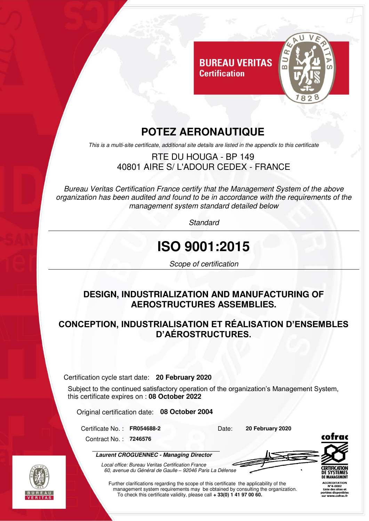

## **POTEZ AERONAUTIQUE**

**Certification** 

This is a multi-site certificate, additional site details are listed in the appendix to this certificate

#### RTE DU HOUGA - BP 149 40801 AIRE S/ L'ADOUR CEDEX - FRANCE

Bureau Veritas Certification France certify that the Management System of the above organization has been audited and found to be in accordance with the requirements of the management system standard detailed below

**Standard** 

# **ISO 9001:2015**

Scope of certification

#### **DESIGN, INDUSTRIALIZATION AND MANUFACTURING OF AEROSTRUCTURES ASSEMBLIES.**

#### **CONCEPTION, INDUSTRIALISATION ET RÉALISATION D'ENSEMBLES D'AÉROSTRUCTURES.**

Certification cycle start date: **20 February 2020** 

Subject to the continued satisfactory operation of the organization's Management System, this certificate expires on : **08 October 2022** 

Original certification date: **08 October 2004** 

Certificate No.: FR054688-2 Date: **20 February 2020** 

Contract No. : **7246576**

I

**Laurent CROGUENNEC - Managing Director**



Local office: Bureau Veritas Certification France 60, avenue du Général de Gaulle *–* 92046 Paris La Défense

Further clarifications regarding the scope of this certificate the applicability of the management system requirements may be obtained by consulting the organization. To check this certificate validity, please call **+ 33(0) 1 41 97 00 60.**